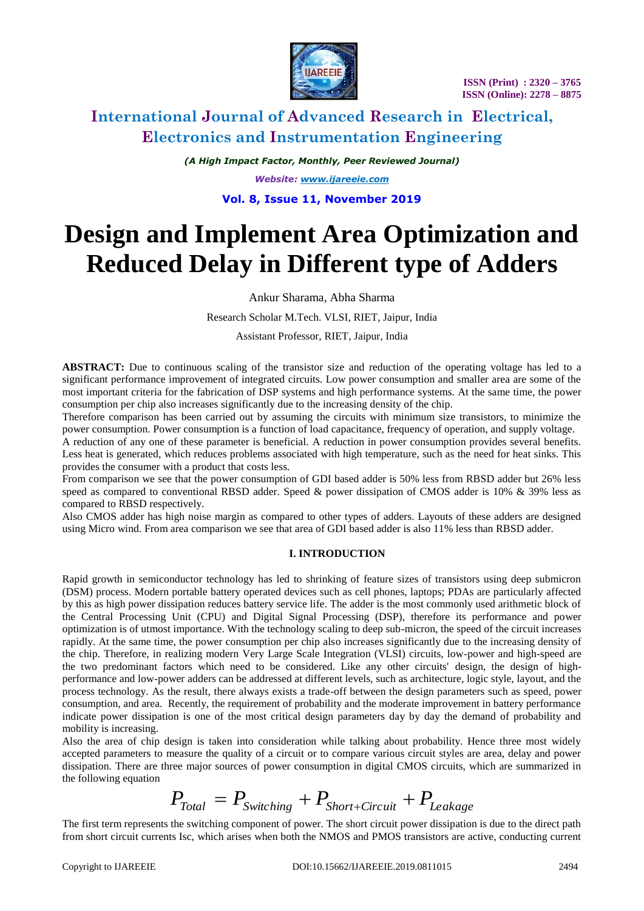

*(A High Impact Factor, Monthly, Peer Reviewed Journal)*

*Website: [www.ijareeie.com](http://www.ijareeie.com/)*

### **Vol. 8, Issue 11, November 2019**

# **Design and Implement Area Optimization and Reduced Delay in Different type of Adders**

Ankur Sharama, Abha Sharma

Research Scholar M.Tech. VLSI, RIET, Jaipur, India

Assistant Professor, RIET, Jaipur, India

**ABSTRACT:** Due to continuous scaling of the transistor size and reduction of the operating voltage has led to a significant performance improvement of integrated circuits. Low power consumption and smaller area are some of the most important criteria for the fabrication of DSP systems and high performance systems. At the same time, the power consumption per chip also increases significantly due to the increasing density of the chip.

Therefore comparison has been carried out by assuming the circuits with minimum size transistors, to minimize the power consumption. Power consumption is a function of load capacitance, frequency of operation, and supply voltage.

A reduction of any one of these parameter is beneficial. A reduction in power consumption provides several benefits. Less heat is generated, which reduces problems associated with high temperature, such as the need for heat sinks. This provides the consumer with a product that costs less.

From comparison we see that the power consumption of GDI based adder is 50% less from RBSD adder but 26% less speed as compared to conventional RBSD adder. Speed & power dissipation of CMOS adder is 10% & 39% less as compared to RBSD respectively.

Also CMOS adder has high noise margin as compared to other types of adders. Layouts of these adders are designed using Micro wind. From area comparison we see that area of GDI based adder is also 11% less than RBSD adder.

### **I. INTRODUCTION**

Rapid growth in semiconductor technology has led to shrinking of feature sizes of transistors using deep submicron (DSM) process. Modern portable battery operated devices such as cell phones, laptops; PDAs are particularly affected by this as high power dissipation reduces battery service life. The adder is the most commonly used arithmetic block of the Central Processing Unit (CPU) and Digital Signal Processing (DSP), therefore its performance and power optimization is of utmost importance. With the technology scaling to deep sub-micron, the speed of the circuit increases rapidly. At the same time, the power consumption per chip also increases significantly due to the increasing density of the chip. Therefore, in realizing modern Very Large Scale Integration (VLSI) circuits, low-power and high-speed are the two predominant factors which need to be considered. Like any other circuits' design, the design of highperformance and low-power adders can be addressed at different levels, such as architecture, logic style, layout, and the process technology. As the result, there always exists a trade-off between the design parameters such as speed, power consumption, and area. Recently, the requirement of probability and the moderate improvement in battery performance indicate power dissipation is one of the most critical design parameters day by day the demand of probability and mobility is increasing.

Also the area of chip design is taken into consideration while talking about probability. Hence three most widely accepted parameters to measure the quality of a circuit or to compare various circuit styles are area, delay and power dissipation. There are three major sources of power consumption in digital CMOS circuits, which are summarized in the following equation

$$
P_{\text{Total}} = P_{\text{Switching}} + P_{\text{Short}+Circuit} + P_{\text{Leakage}}
$$

The first term represents the switching component of power. The short circuit power dissipation is due to the direct path from short circuit currents Isc, which arises when both the NMOS and PMOS transistors are active, conducting current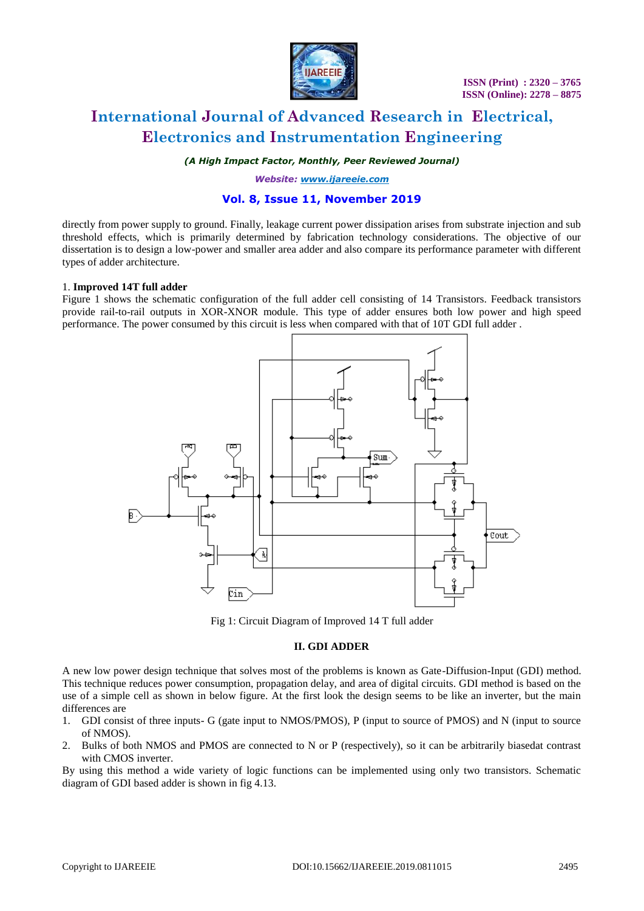

*(A High Impact Factor, Monthly, Peer Reviewed Journal)*

*Website: [www.ijareeie.com](http://www.ijareeie.com/)*

### **Vol. 8, Issue 11, November 2019**

directly from power supply to ground. Finally, leakage current power dissipation arises from substrate injection and sub threshold effects, which is primarily determined by fabrication technology considerations. The objective of our dissertation is to design a low-power and smaller area adder and also compare its performance parameter with different types of adder architecture.

### 1. **Improved 14T full adder**

Figure 1 shows the schematic configuration of the full adder cell consisting of 14 Transistors. Feedback transistors provide rail-to-rail outputs in XOR-XNOR module. This type of adder ensures both low power and high speed performance. The power consumed by this circuit is less when compared with that of 10T GDI full adder .



Fig 1: Circuit Diagram of Improved 14 T full adder

### **II. GDI ADDER**

A new low power design technique that solves most of the problems is known as Gate-Diffusion-Input (GDI) method. This technique reduces power consumption, propagation delay, and area of digital circuits. GDI method is based on the use of a simple cell as shown in below figure. At the first look the design seems to be like an inverter, but the main differences are

- 1. GDI consist of three inputs- G (gate input to NMOS/PMOS), P (input to source of PMOS) and N (input to source of NMOS).
- 2. Bulks of both NMOS and PMOS are connected to N or P (respectively), so it can be arbitrarily biasedat contrast with CMOS inverter.

By using this method a wide variety of logic functions can be implemented using only two transistors. Schematic diagram of GDI based adder is shown in fig 4.13.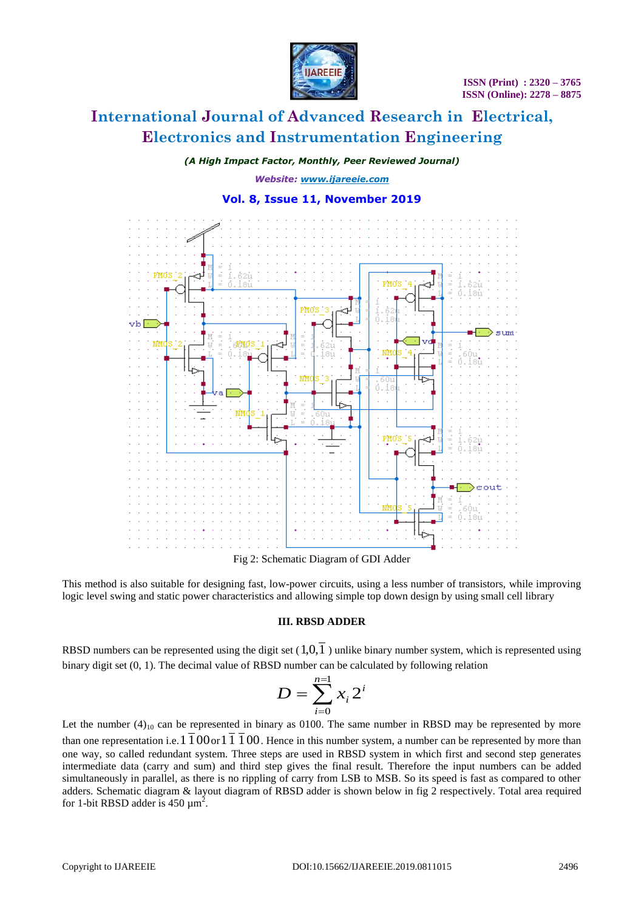

*(A High Impact Factor, Monthly, Peer Reviewed Journal)*

*Website: [www.ijareeie.com](http://www.ijareeie.com/)*

### **Vol. 8, Issue 11, November 2019**



Fig 2: Schematic Diagram of GDI Adder

This method is also suitable for designing fast, low-power circuits, using a less number of transistors, while improving logic level swing and static power characteristics and allowing simple top down design by using small cell library

#### **III. RBSD ADDER**

RBSD numbers can be represented using the digit set  $(1,0,1)$  unlike binary number system, which is represented using binary digit set (0, 1). The decimal value of RBSD number can be calculated by following relation

$$
D = \sum_{i=0}^{n=1} x_i 2^i
$$

Let the number  $(4)_{10}$  can be represented in binary as 0100. The same number in RBSD may be represented by more than one representation i.e.  $1\overline{1}00$  or  $1\overline{1}100$ . Hence in this number system, a number can be represented by more than one way, so called redundant system. Three steps are used in RBSD system in which first and second step generates intermediate data (carry and sum) and third step gives the final result. Therefore the input numbers can be added simultaneously in parallel, as there is no rippling of carry from LSB to MSB. So its speed is fast as compared to other adders. Schematic diagram & layout diagram of RBSD adder is shown below in fig 2 respectively. Total area required for 1-bit RBSD adder is 450  $\mu$ m<sup>2</sup>.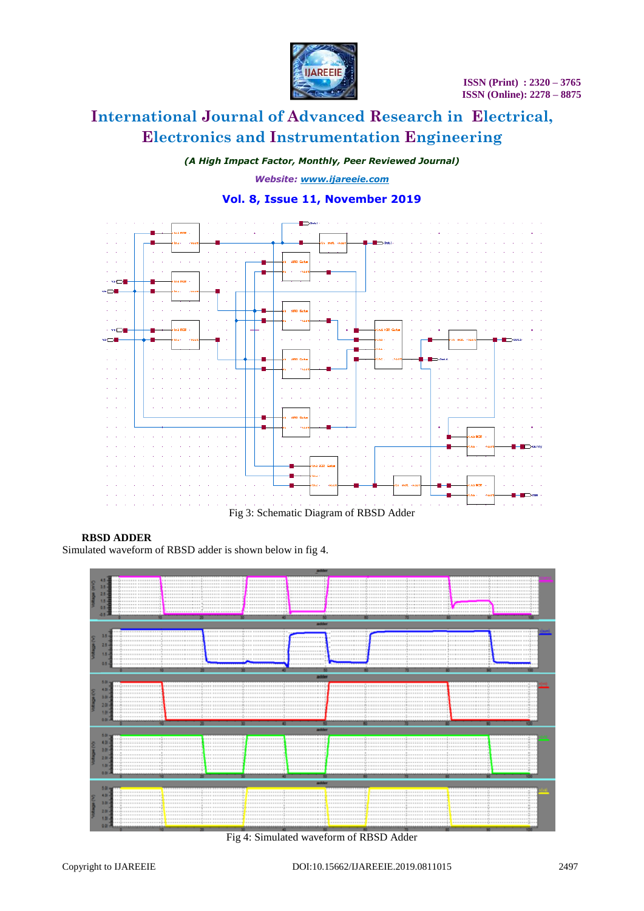

*(A High Impact Factor, Monthly, Peer Reviewed Journal)*

*Website: [www.ijareeie.com](http://www.ijareeie.com/)*

## **Vol. 8, Issue 11, November 2019**



### **RBSD ADDER**

Simulated waveform of RBSD adder is shown below in fig 4.



Fig 4: Simulated waveform of RBSD Adder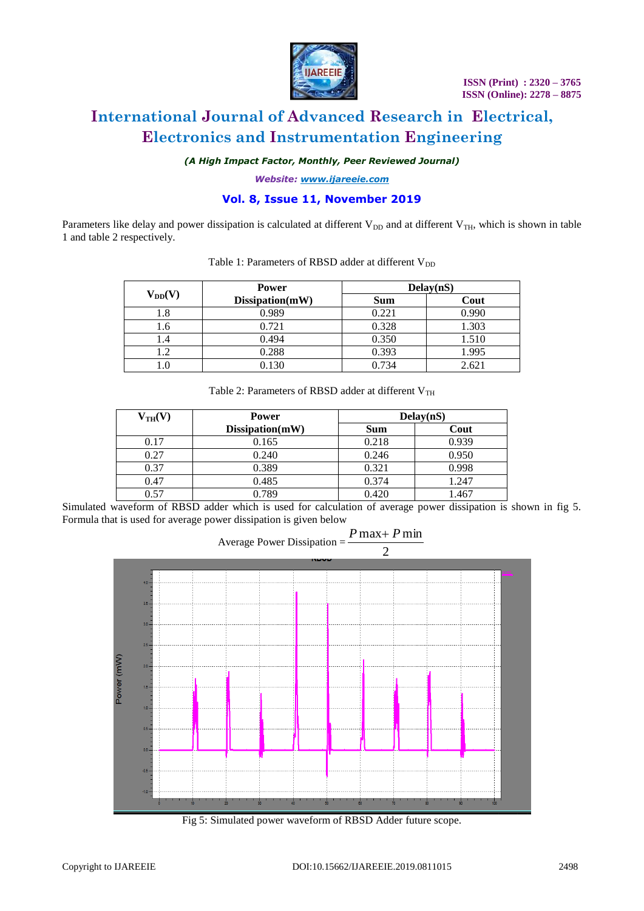

*(A High Impact Factor, Monthly, Peer Reviewed Journal)*

*Website: [www.ijareeie.com](http://www.ijareeie.com/)*

### **Vol. 8, Issue 11, November 2019**

Parameters like delay and power dissipation is calculated at different  $V_{DD}$  and at different  $V_{TH}$ , which is shown in table 1 and table 2 respectively.

| $V_{DD}(V)$ | <b>Power</b>    | Delay(nS)  |       |
|-------------|-----------------|------------|-------|
|             | Dissipation(mW) | <b>Sum</b> | Cout  |
| .8          | 0.989           | 0.221      | 0.990 |
| .6          | 0.721           | 0.328      | 1.303 |
|             | 0.494           | 0.350      | 1.510 |
| .2          | 0.288           | 0.393      | 1.995 |
|             | 0.130           | 0.734      | 2.621 |

### Table 1: Parameters of RBSD adder at different  $V_{DD}$

| Table 2: Parameters of RBSD adder at different $V_{TH}$ |  |
|---------------------------------------------------------|--|
|---------------------------------------------------------|--|

| $V_{TH}(V)$ | <b>Power</b>    | Delay(nS)  |       |
|-------------|-----------------|------------|-------|
|             | Dissipation(mW) | <b>Sum</b> | Cout  |
| 0.17        | 0.165           | 0.218      | 0.939 |
| 0.27        | 0.240           | 0.246      | 0.950 |
| 0.37        | 0.389           | 0.321      | 0.998 |
| 0.47        | 0.485           | 0.374      | 1.247 |
| 0.57        | 0.789           | 0.420      | 1.467 |

Simulated waveform of RBSD adder which is used for calculation of average power dissipation is shown in fig 5. Formula that is used for average power dissipation is given below

 $P$  max +  $P$  min



Fig 5: Simulated power waveform of RBSD Adder future scope.